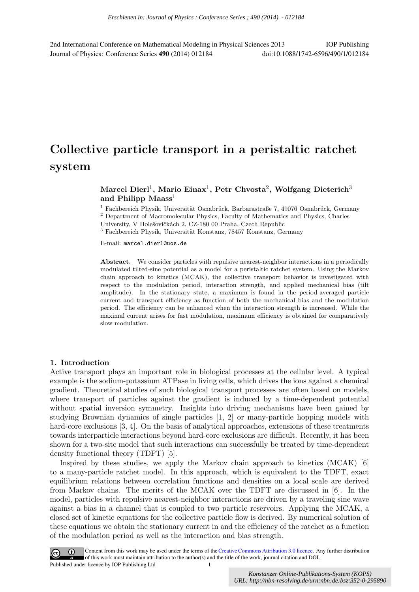2nd International Conference on Mathematical Modeling in Physical Sciences 2013 IOP Publishing Journal of Physics: Conference Series **490** (2014) 012184 doi:10.1088/1742-6596/490/1/012184

# **Collective particle transport in a peristaltic ratchet system**

# $M$ arcel  $Dierl<sup>1</sup>$ ,  $M$ ario  $Einax<sup>1</sup>$ ,  $P$ etr  $Chvosta<sup>2</sup>$ ,  $W$ olfgang  $Dieterich<sup>3</sup>$ **and Philipp Maass**<sup>1</sup>

 $1$  Fachbereich Physik, Universität Osnabrück, Barbarastraße 7, 49076 Osnabrück, Germany

<sup>2</sup> Department of Macromolecular Physics, Faculty of Mathematics and Physics, Charles University, V Holešovičkách 2, CZ-180 00 Praha, Czech Republic

 $^3$  Fachbereich Physik, Universität Konstanz, 78457 Konstanz, Germany

E-mail: marcel.dierl@uos.de

**Abstract.** We consider particles with repulsive nearest-neighbor interactions in a periodically modulated tilted-sine potential as a model for a peristaltic ratchet system. Using the Markov chain approach to kinetics (MCAK), the collective transport behavior is investigated with respect to the modulation period, interaction strength, and applied mechanical bias (tilt amplitude). In the stationary state, a maximum is found in the period-averaged particle current and transport efficiency as function of both the mechanical bias and the modulation period. The efficiency can be enhanced when the interaction strength is increased. While the maximal current arises for fast modulation, maximum efficiency is obtained for comparatively slow modulation.

#### **1. Introduction**

Active transport plays an important role in biological processes at the cellular level. A typical example is the sodium-potassium ATPase in living cells, which drives the ions against a chemical gradient. Theoretical studies of such biological transport processes are often based on models, where transport of particles against the gradient is induced by a time-dependent potential without spatial inversion symmetry. Insights into driving mechanisms have been gained by studying Brownian dynamics of single particles [1, 2] or many-particle hopping models with hard-core exclusions [3, 4]. On the basis of analytical approaches, extensions of these treatments towards interparticle interactions beyond hard-core exclusions are difficult. Recently, it has been shown for a two-site model that such interactions can successfully be treated by time-dependent density functional theory (TDFT) [5]. *URLARER CONDUCTER CONDUCTER CONDUCTER CONDUCTER CONDUCTER CONDUCTER CONDUCTER CONDUCTER CONDUCTER CONDUCTER CONDUCTER CONDUCTER CONDUCTER CONDUCTER CONDUCTER CONDUCTER CONDUCTER CONDUCTER CONDUCTER CONDUCTER CONDUCTER CON* 

Inspired by these studies, we apply the Markov chain approach to kinetics  $(MCAK)$  [6] to a many-particle ratchet model. In this approach, which is equivalent to the TDFT, exact equilibrium relations between correlation functions and densities on a local scale are derived from Markov chains. The merits of the MCAK over the TDFT are discussed in [6]. In the model, particles with repulsive nearest-neighbor interactions are driven by a traveling sine wave against a bias in a channel that is coupled to two particle reservoirs. Applying the MCAK, a closed set of kinetic equations for the collective particle flow is derived. By numerical solution of these equations we obtain the stationary current in and the efficiency of the ratchet as a function of the modulation period as well as the interaction and bias strength.

Content from this work may be used under the terms of the Creative Commons Attribution 3.0 licence. Any further distribution  $(cc)$ of this work must maintain attribution to the author(s) and the title of the work, journal citation and DOI. Published under licence by IOP Publishing Ltd 1

*Konstanzer Online-Publikations-System (KOPS)*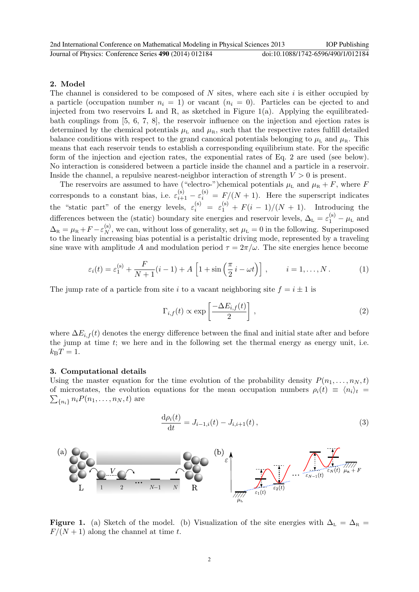## **2. Model**

The channel is considered to be composed of *N* sites, where each site *i* is either occupied by a particle (occupation number  $n<sub>i</sub> = 1$ ) or vacant  $(n<sub>i</sub> = 0)$ . Particles can be ejected to and injected from two reservoirs L and R, as sketched in Figure  $1(a)$ . Applying the equilibratedbath couplings from [5, 6, 7, 8], the reservoir influence on the injection and ejection rates is determined by the chemical potentials  $\mu_{\rm L}$  and  $\mu_{\rm R}$ , such that the respective rates fulfill detailed balance conditions with respect to the grand canonical potentials belonging to  $\mu_L$  and  $\mu_R$ . This means that each reservoir tends to establish a corresponding equilibrium state. For the specific form of the injection and ejection rates, the exponential rates of Eq. 2 are used (see below). No interaction is considered between a particle inside the channel and a particle in a reservoir. Inside the channel, a repulsive nearest-neighbor interaction of strength *V >* 0 is present.

The reservoirs are assumed to have ("electro-")chemical potentials  $\mu_L$  and  $\mu_R + F$ , where *F* corresponds to a constant bias, i.e.  $\varepsilon_{i+1}^{(s)} - \varepsilon_i^{(s)} = F/(N+1)$ . Here the superscript indicates the "static part" of the energy levels,  $\varepsilon_i^{(s)} = \varepsilon_1^{(s)} + F(i-1)/(N+1)$ . Introducing the differences between the (static) boundary site energies and reservoir levels,  $\Delta_{L} = \varepsilon_1^{(s)} - \mu_{L}$  and  $\Delta_{\rm R} = \mu_{\rm R} + F - \varepsilon_N^{\rm (s)}$  $N$ , we can, without loss of generality, set  $\mu$ <sub>L</sub> = 0 in the following. Superimposed to the linearly increasing bias potential is a peristaltic driving mode, represented by a traveling sine wave with amplitude *A* and modulation period  $\tau = 2\pi/\omega$ . The site energies hence become

$$
\varepsilon_i(t) = \varepsilon_1^{(s)} + \frac{F}{N+1}(i-1) + A\left[1 + \sin\left(\frac{\pi}{2}i - \omega t\right)\right], \qquad i = 1, \dots, N. \tag{1}
$$

The jump rate of a particle from site *i* to a vacant neighboring site  $f = i \pm 1$  is

$$
\Gamma_{i,f}(t) \propto \exp\left[\frac{-\Delta E_{i,f}(t)}{2}\right],\tag{2}
$$

where  $\Delta E_{i,f}(t)$  denotes the energy difference between the final and initial state after and before the jump at time *t*; we here and in the following set the thermal energy as energy unit, i.e.  $k_{\rm B}T = 1.$ 

#### **3. Computational details**

Using the master equation for the time evolution of the probability density  $P(n_1, \ldots, n_N, t)$ of microstates, the evolution equations for the mean occupation numbers  $\rho_i(t) \equiv \langle n_i \rangle_t =$  $\sum_{\{n_i\}} n_i P(n_1, \ldots, n_N, t)$  are

$$
\frac{d\rho_i(t)}{dt} = J_{i-1,i}(t) - J_{i,i+1}(t),
$$
\n(3)



**Figure 1.** (a) Sketch of the model. (b) Visualization of the site energies with  $\Delta_L = \Delta_R =$  $F/(N+1)$  along the channel at time t.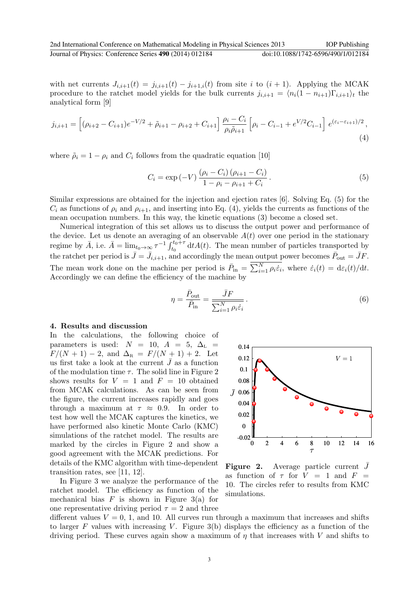with net currents  $J_{i,i+1}(t) = j_{i,i+1}(t) - j_{i+1,i}(t)$  from site *i* to  $(i + 1)$ . Applying the MCAK procedure to the ratchet model yields for the bulk currents  $j_{i,i+1} = \langle n_i(1 - n_{i+1})\Gamma_{i,i+1}\rangle_t$  the analytical form [9]

$$
j_{i,i+1} = \left[ (\rho_{i+2} - C_{i+1})e^{-V/2} + \tilde{\rho}_{i+1} - \rho_{i+2} + C_{i+1} \right] \frac{\rho_i - C_i}{\rho_i \tilde{\rho}_{i+1}} \left[ \rho_i - C_{i-1} + e^{V/2} C_{i-1} \right] e^{(\varepsilon_i - \varepsilon_{i+1})/2}, \tag{4}
$$

where  $\tilde{\rho}_i = 1 - \rho_i$  and  $C_i$  follows from the quadratic equation [10]

$$
C_i = \exp(-V) \frac{(\rho_i - C_i)(\rho_{i+1} - C_i)}{1 - \rho_i - \rho_{i+1} + C_i}.
$$
\n(5)

Similar expressions are obtained for the injection and ejection rates [6]. Solving Eq. (5) for the  $C_i$  as functions of  $\rho_i$  and  $\rho_{i+1}$ , and inserting into Eq. (4), yields the currents as functions of the mean occupation numbers. In this way, the kinetic equations (3) become a closed set.

Numerical integration of this set allows us to discuss the output power and performance of the device. Let us denote an averaging of an observable  $A(t)$  over one period in the stationary regime by  $\bar{A}$ , i.e.  $\bar{A} = \lim_{t_0 \to \infty} \tau^{-1} \int_{t_0}^{t_0+\tau} dt A(t)$ . The mean number of particles transported by the ratchet per period is  $\bar{J} = \bar{J}_{i,i+1}$ , and accordingly the mean output power becomes  $\bar{P}_{out} = \bar{J}F$ . The mean work done on the machine per period is  $\bar{P}_{in} = \sum_{i=1}^{N} \rho_i \dot{\varepsilon}_i$ , where  $\dot{\varepsilon}_i(t) = d\varepsilon_i(t)/dt$ . Accordingly we can define the efficiency of the machine by

$$
\eta = \frac{\bar{P}_{\text{out}}}{\bar{P}_{\text{in}}} = \frac{\bar{J}F}{\sum_{i=1}^{N} \rho_i \dot{\varepsilon}_i}.
$$
\n(6)

## **4. Results and discussion**

In the calculations, the following choice of parameters is used:  $N = 10$ ,  $A = 5$ ,  $\Delta_L =$  $F/(N+1) - 2$ , and  $\Delta_R = F/(N+1) + 2$ . Let us first take a look at the current  $\bar{J}$  as a function of the modulation time  $\tau$ . The solid line in Figure 2 shows results for  $V = 1$  and  $F = 10$  obtained from MCAK calculations. As can be seen from the figure, the current increases rapidly and goes through a maximum at  $\tau \approx 0.9$ . In order to test how well the MCAK captures the kinetics, we have performed also kinetic Monte Carlo (KMC) simulations of the ratchet model. The results are marked by the circles in Figure 2 and show a good agreement with the MCAK predictions. For details of the KMC algorithm with time-dependent transition rates, see [11, 12].

In Figure 3 we analyze the performance of the ratchet model. The efficiency as function of the mechanical bias  $F$  is shown in Figure 3(a) for one representative driving period  $\tau = 2$  and three



**Figure 2.** Average particle current  $\bar{J}$ as function of  $\tau$  for  $V = 1$  and  $F =$ 10. The circles refer to results from KMC simulations.

different values  $V = 0, 1$ , and 10. All curves run through a maximum that increases and shifts to larger  $F$  values with increasing  $V$ . Figure 3(b) displays the efficiency as a function of the driving period. These curves again show a maximum of *η* that increases with *V* and shifts to